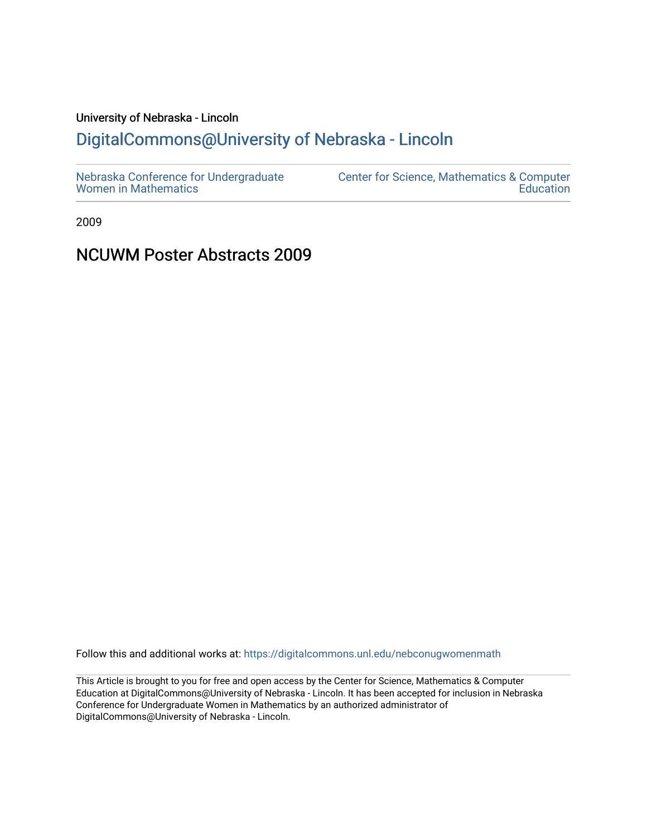## University of Nebraska - Lincoln

## [DigitalCommons@University of Nebraska - Lincoln](https://digitalcommons.unl.edu/)

| Nebraska Conference for Undergraduate | Center for Science, Mathematics & Computer |
|---------------------------------------|--------------------------------------------|
| <b>Women in Mathematics</b>           | Education                                  |

2009

### NCUWM Poster Abstracts 2009

Follow this and additional works at: [https://digitalcommons.unl.edu/nebconugwomenmath](https://digitalcommons.unl.edu/nebconugwomenmath?utm_source=digitalcommons.unl.edu%2Fnebconugwomenmath%2F9&utm_medium=PDF&utm_campaign=PDFCoverPages)

This Article is brought to you for free and open access by the Center for Science, Mathematics & Computer Education at DigitalCommons@University of Nebraska - Lincoln. It has been accepted for inclusion in Nebraska Conference for Undergraduate Women in Mathematics by an authorized administrator of DigitalCommons@University of Nebraska - Lincoln.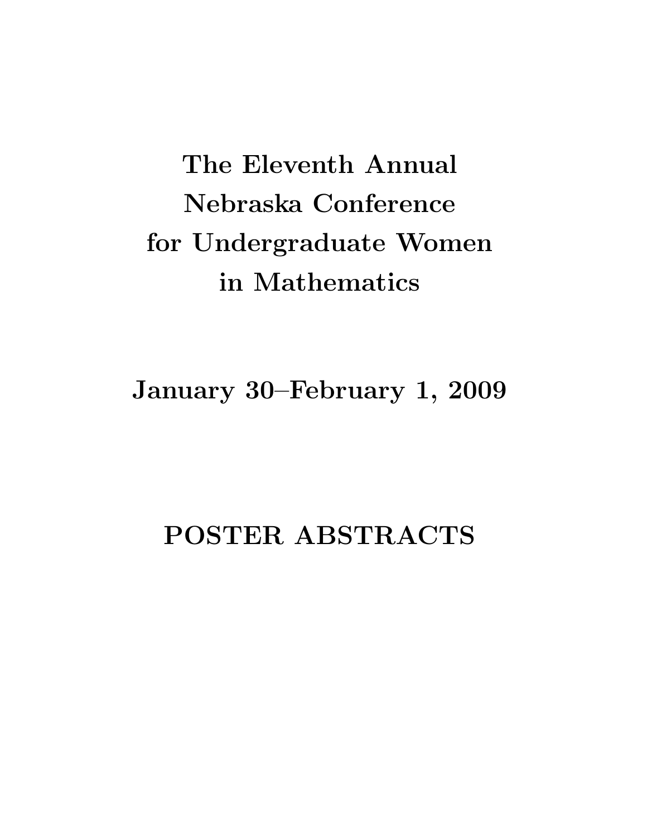# The Eleventh Annual Nebraska Conference for Undergraduate Women in Mathematics

January 30–February 1, 2009

## POSTER ABSTRACTS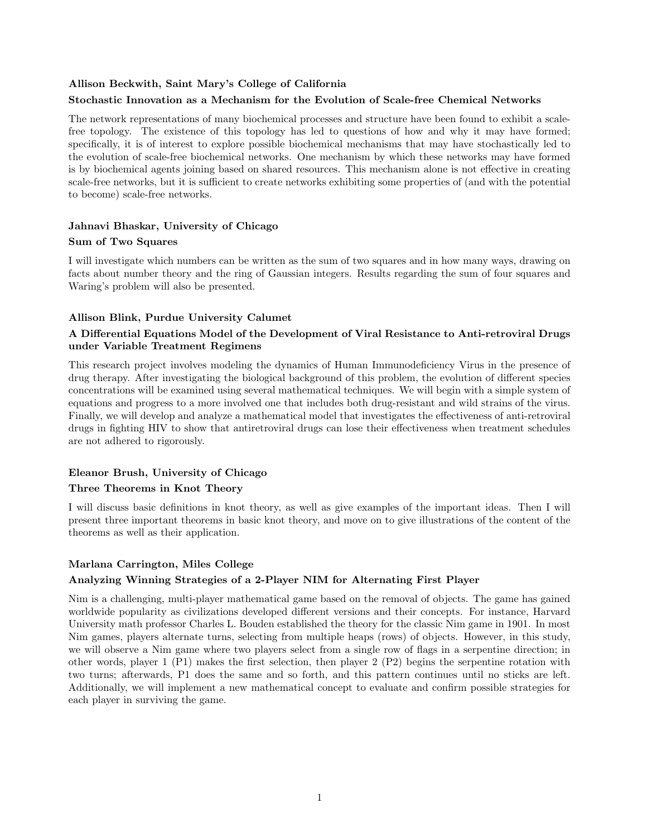#### Allison Beckwith, Saint Mary's College of California

#### Stochastic Innovation as a Mechanism for the Evolution of Scale-free Chemical Networks

The network representations of many biochemical processes and structure have been found to exhibit a scalefree topology. The existence of this topology has led to questions of how and why it may have formed; specifically, it is of interest to explore possible biochemical mechanisms that may have stochastically led to the evolution of scale-free biochemical networks. One mechanism by which these networks may have formed is by biochemical agents joining based on shared resources. This mechanism alone is not effective in creating scale-free networks, but it is sufficient to create networks exhibiting some properties of (and with the potential to become) scale-free networks.

#### Jahnavi Bhaskar, University of Chicago

#### Sum of Two Squares

I will investigate which numbers can be written as the sum of two squares and in how many ways, drawing on facts about number theory and the ring of Gaussian integers. Results regarding the sum of four squares and Waring's problem will also be presented.

#### Allison Blink, Purdue University Calumet

#### A Differential Equations Model of the Development of Viral Resistance to Anti-retroviral Drugs under Variable Treatment Regimens

This research project involves modeling the dynamics of Human Immunodeficiency Virus in the presence of drug therapy. After investigating the biological background of this problem, the evolution of different species concentrations will be examined using several mathematical techniques. We will begin with a simple system of equations and progress to a more involved one that includes both drug-resistant and wild strains of the virus. Finally, we will develop and analyze a mathematical model that investigates the effectiveness of anti-retroviral drugs in fighting HIV to show that antiretroviral drugs can lose their effectiveness when treatment schedules are not adhered to rigorously.

#### Eleanor Brush, University of Chicago

#### Three Theorems in Knot Theory

I will discuss basic definitions in knot theory, as well as give examples of the important ideas. Then I will present three important theorems in basic knot theory, and move on to give illustrations of the content of the theorems as well as their application.

#### Marlana Carrington, Miles College

#### Analyzing Winning Strategies of a 2-Player NIM for Alternating First Player

Nim is a challenging, multi-player mathematical game based on the removal of objects. The game has gained worldwide popularity as civilizations developed different versions and their concepts. For instance, Harvard University math professor Charles L. Bouden established the theory for the classic Nim game in 1901. In most Nim games, players alternate turns, selecting from multiple heaps (rows) of objects. However, in this study, we will observe a Nim game where two players select from a single row of flags in a serpentine direction; in other words, player 1 (P1) makes the first selection, then player 2 (P2) begins the serpentine rotation with two turns; afterwards, P1 does the same and so forth, and this pattern continues until no sticks are left. Additionally, we will implement a new mathematical concept to evaluate and confirm possible strategies for each player in surviving the game.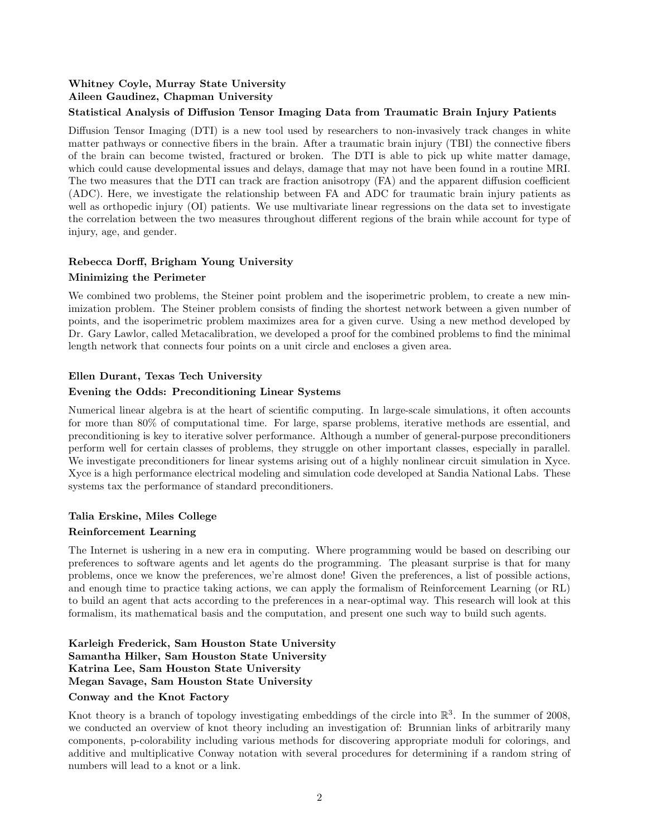#### Whitney Coyle, Murray State University Aileen Gaudinez, Chapman University

#### Statistical Analysis of Diffusion Tensor Imaging Data from Traumatic Brain Injury Patients

Diffusion Tensor Imaging (DTI) is a new tool used by researchers to non-invasively track changes in white matter pathways or connective fibers in the brain. After a traumatic brain injury (TBI) the connective fibers of the brain can become twisted, fractured or broken. The DTI is able to pick up white matter damage, which could cause developmental issues and delays, damage that may not have been found in a routine MRI. The two measures that the DTI can track are fraction anisotropy (FA) and the apparent diffusion coefficient (ADC). Here, we investigate the relationship between FA and ADC for traumatic brain injury patients as well as orthopedic injury (OI) patients. We use multivariate linear regressions on the data set to investigate the correlation between the two measures throughout different regions of the brain while account for type of injury, age, and gender.

#### Rebecca Dorff, Brigham Young University

#### Minimizing the Perimeter

We combined two problems, the Steiner point problem and the isoperimetric problem, to create a new minimization problem. The Steiner problem consists of finding the shortest network between a given number of points, and the isoperimetric problem maximizes area for a given curve. Using a new method developed by Dr. Gary Lawlor, called Metacalibration, we developed a proof for the combined problems to find the minimal length network that connects four points on a unit circle and encloses a given area.

#### Ellen Durant, Texas Tech University

#### Evening the Odds: Preconditioning Linear Systems

Numerical linear algebra is at the heart of scientific computing. In large-scale simulations, it often accounts for more than 80% of computational time. For large, sparse problems, iterative methods are essential, and preconditioning is key to iterative solver performance. Although a number of general-purpose preconditioners perform well for certain classes of problems, they struggle on other important classes, especially in parallel. We investigate preconditioners for linear systems arising out of a highly nonlinear circuit simulation in Xyce. Xyce is a high performance electrical modeling and simulation code developed at Sandia National Labs. These systems tax the performance of standard preconditioners.

#### Talia Erskine, Miles College

#### Reinforcement Learning

The Internet is ushering in a new era in computing. Where programming would be based on describing our preferences to software agents and let agents do the programming. The pleasant surprise is that for many problems, once we know the preferences, we're almost done! Given the preferences, a list of possible actions, and enough time to practice taking actions, we can apply the formalism of Reinforcement Learning (or RL) to build an agent that acts according to the preferences in a near-optimal way. This research will look at this formalism, its mathematical basis and the computation, and present one such way to build such agents.

#### Karleigh Frederick, Sam Houston State University Samantha Hilker, Sam Houston State University Katrina Lee, Sam Houston State University Megan Savage, Sam Houston State University

#### Conway and the Knot Factory

Knot theory is a branch of topology investigating embeddings of the circle into  $\mathbb{R}^3$ . In the summer of 2008, we conducted an overview of knot theory including an investigation of: Brunnian links of arbitrarily many components, p-colorability including various methods for discovering appropriate moduli for colorings, and additive and multiplicative Conway notation with several procedures for determining if a random string of numbers will lead to a knot or a link.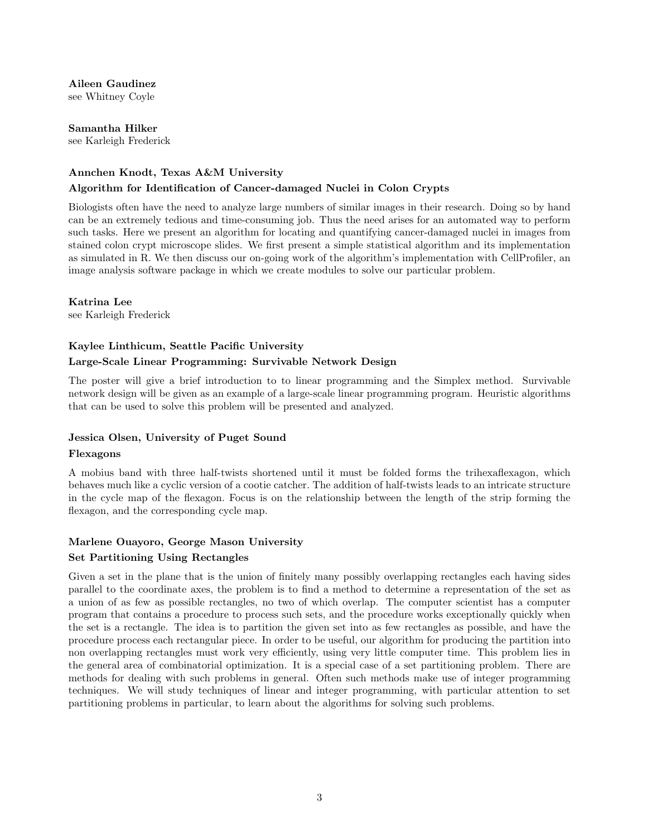Aileen Gaudinez

see Whitney Coyle

Samantha Hilker see Karleigh Frederick

#### Annchen Knodt, Texas A&M University

#### Algorithm for Identification of Cancer-damaged Nuclei in Colon Crypts

Biologists often have the need to analyze large numbers of similar images in their research. Doing so by hand can be an extremely tedious and time-consuming job. Thus the need arises for an automated way to perform such tasks. Here we present an algorithm for locating and quantifying cancer-damaged nuclei in images from stained colon crypt microscope slides. We first present a simple statistical algorithm and its implementation as simulated in R. We then discuss our on-going work of the algorithm's implementation with CellProfiler, an image analysis software package in which we create modules to solve our particular problem.

Katrina Lee

see Karleigh Frederick

#### Kaylee Linthicum, Seattle Pacific University

#### Large-Scale Linear Programming: Survivable Network Design

The poster will give a brief introduction to to linear programming and the Simplex method. Survivable network design will be given as an example of a large-scale linear programming program. Heuristic algorithms that can be used to solve this problem will be presented and analyzed.

#### Jessica Olsen, University of Puget Sound

#### Flexagons

A mobius band with three half-twists shortened until it must be folded forms the trihexaflexagon, which behaves much like a cyclic version of a cootie catcher. The addition of half-twists leads to an intricate structure in the cycle map of the flexagon. Focus is on the relationship between the length of the strip forming the flexagon, and the corresponding cycle map.

#### Marlene Ouayoro, George Mason University

#### Set Partitioning Using Rectangles

Given a set in the plane that is the union of finitely many possibly overlapping rectangles each having sides parallel to the coordinate axes, the problem is to find a method to determine a representation of the set as a union of as few as possible rectangles, no two of which overlap. The computer scientist has a computer program that contains a procedure to process such sets, and the procedure works exceptionally quickly when the set is a rectangle. The idea is to partition the given set into as few rectangles as possible, and have the procedure process each rectangular piece. In order to be useful, our algorithm for producing the partition into non overlapping rectangles must work very efficiently, using very little computer time. This problem lies in the general area of combinatorial optimization. It is a special case of a set partitioning problem. There are methods for dealing with such problems in general. Often such methods make use of integer programming techniques. We will study techniques of linear and integer programming, with particular attention to set partitioning problems in particular, to learn about the algorithms for solving such problems.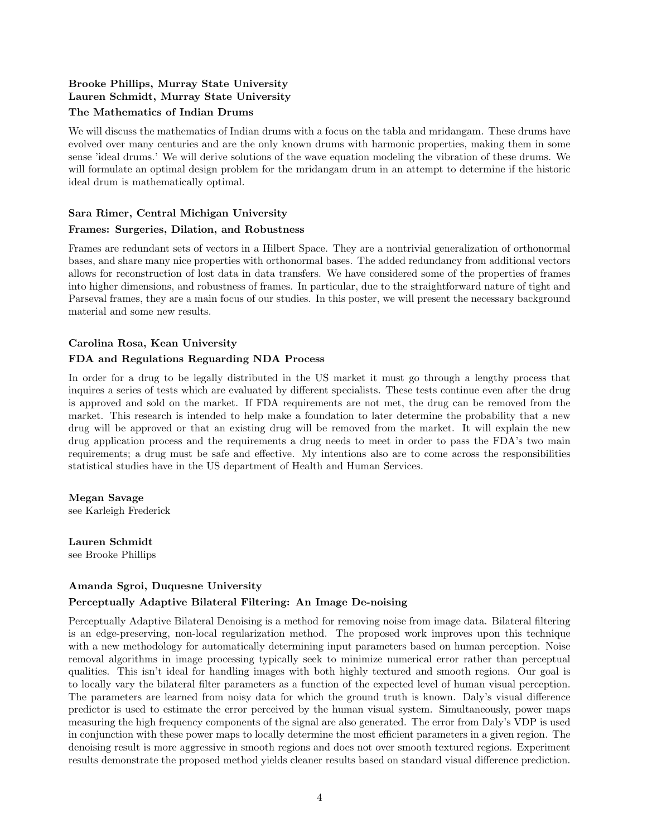#### Brooke Phillips, Murray State University Lauren Schmidt, Murray State University

#### The Mathematics of Indian Drums

We will discuss the mathematics of Indian drums with a focus on the tabla and mridangam. These drums have evolved over many centuries and are the only known drums with harmonic properties, making them in some sense 'ideal drums.' We will derive solutions of the wave equation modeling the vibration of these drums. We will formulate an optimal design problem for the mridangam drum in an attempt to determine if the historic ideal drum is mathematically optimal.

#### Sara Rimer, Central Michigan University

#### Frames: Surgeries, Dilation, and Robustness

Frames are redundant sets of vectors in a Hilbert Space. They are a nontrivial generalization of orthonormal bases, and share many nice properties with orthonormal bases. The added redundancy from additional vectors allows for reconstruction of lost data in data transfers. We have considered some of the properties of frames into higher dimensions, and robustness of frames. In particular, due to the straightforward nature of tight and Parseval frames, they are a main focus of our studies. In this poster, we will present the necessary background material and some new results.

#### Carolina Rosa, Kean University

#### FDA and Regulations Reguarding NDA Process

In order for a drug to be legally distributed in the US market it must go through a lengthy process that inquires a series of tests which are evaluated by different specialists. These tests continue even after the drug is approved and sold on the market. If FDA requirements are not met, the drug can be removed from the market. This research is intended to help make a foundation to later determine the probability that a new drug will be approved or that an existing drug will be removed from the market. It will explain the new drug application process and the requirements a drug needs to meet in order to pass the FDA's two main requirements; a drug must be safe and effective. My intentions also are to come across the responsibilities statistical studies have in the US department of Health and Human Services.

Megan Savage see Karleigh Frederick

Lauren Schmidt see Brooke Phillips

#### Amanda Sgroi, Duquesne University

#### Perceptually Adaptive Bilateral Filtering: An Image De-noising

Perceptually Adaptive Bilateral Denoising is a method for removing noise from image data. Bilateral filtering is an edge-preserving, non-local regularization method. The proposed work improves upon this technique with a new methodology for automatically determining input parameters based on human perception. Noise removal algorithms in image processing typically seek to minimize numerical error rather than perceptual qualities. This isn't ideal for handling images with both highly textured and smooth regions. Our goal is to locally vary the bilateral filter parameters as a function of the expected level of human visual perception. The parameters are learned from noisy data for which the ground truth is known. Daly's visual difference predictor is used to estimate the error perceived by the human visual system. Simultaneously, power maps measuring the high frequency components of the signal are also generated. The error from Daly's VDP is used in conjunction with these power maps to locally determine the most efficient parameters in a given region. The denoising result is more aggressive in smooth regions and does not over smooth textured regions. Experiment results demonstrate the proposed method yields cleaner results based on standard visual difference prediction.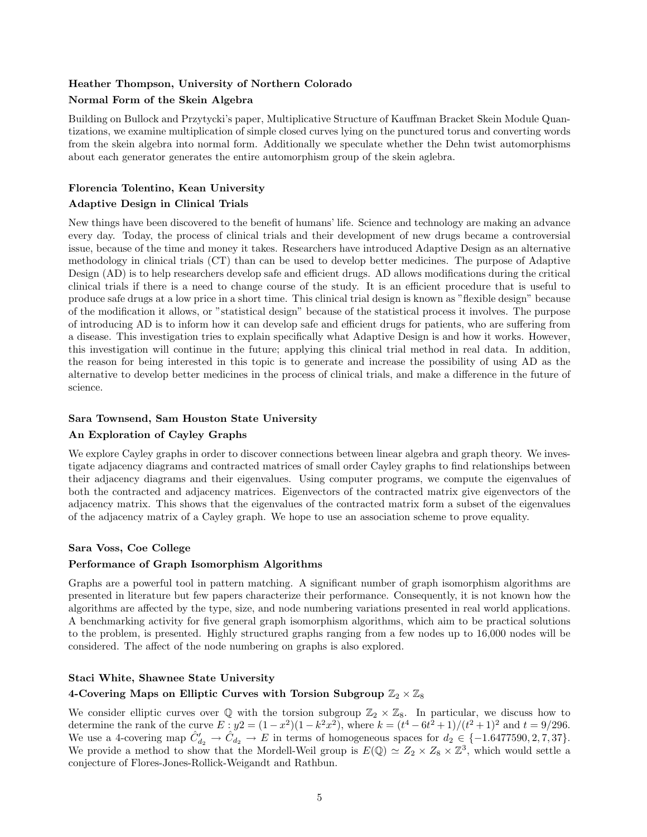#### Heather Thompson, University of Northern Colorado

#### Normal Form of the Skein Algebra

Building on Bullock and Przytycki's paper, Multiplicative Structure of Kauffman Bracket Skein Module Quantizations, we examine multiplication of simple closed curves lying on the punctured torus and converting words from the skein algebra into normal form. Additionally we speculate whether the Dehn twist automorphisms about each generator generates the entire automorphism group of the skein aglebra.

#### Florencia Tolentino, Kean University

#### Adaptive Design in Clinical Trials

New things have been discovered to the benefit of humans' life. Science and technology are making an advance every day. Today, the process of clinical trials and their development of new drugs became a controversial issue, because of the time and money it takes. Researchers have introduced Adaptive Design as an alternative methodology in clinical trials (CT) than can be used to develop better medicines. The purpose of Adaptive Design (AD) is to help researchers develop safe and efficient drugs. AD allows modifications during the critical clinical trials if there is a need to change course of the study. It is an efficient procedure that is useful to produce safe drugs at a low price in a short time. This clinical trial design is known as "flexible design" because of the modification it allows, or "statistical design" because of the statistical process it involves. The purpose of introducing AD is to inform how it can develop safe and efficient drugs for patients, who are suffering from a disease. This investigation tries to explain specifically what Adaptive Design is and how it works. However, this investigation will continue in the future; applying this clinical trial method in real data. In addition, the reason for being interested in this topic is to generate and increase the possibility of using AD as the alternative to develop better medicines in the process of clinical trials, and make a difference in the future of science.

#### Sara Townsend, Sam Houston State University

#### An Exploration of Cayley Graphs

We explore Cayley graphs in order to discover connections between linear algebra and graph theory. We investigate adjacency diagrams and contracted matrices of small order Cayley graphs to find relationships between their adjacency diagrams and their eigenvalues. Using computer programs, we compute the eigenvalues of both the contracted and adjacency matrices. Eigenvectors of the contracted matrix give eigenvectors of the adjacency matrix. This shows that the eigenvalues of the contracted matrix form a subset of the eigenvalues of the adjacency matrix of a Cayley graph. We hope to use an association scheme to prove equality.

#### Sara Voss, Coe College

#### Performance of Graph Isomorphism Algorithms

Graphs are a powerful tool in pattern matching. A significant number of graph isomorphism algorithms are presented in literature but few papers characterize their performance. Consequently, it is not known how the algorithms are affected by the type, size, and node numbering variations presented in real world applications. A benchmarking activity for five general graph isomorphism algorithms, which aim to be practical solutions to the problem, is presented. Highly structured graphs ranging from a few nodes up to 16,000 nodes will be considered. The affect of the node numbering on graphs is also explored.

#### Staci White, Shawnee State University

#### 4-Covering Maps on Elliptic Curves with Torsion Subgroup  $\mathbb{Z}_2\times\mathbb{Z}_8$

We consider elliptic curves over  $\mathbb Q$  with the torsion subgroup  $\mathbb Z_2 \times \mathbb Z_8$ . In particular, we discuss how to determine the rank of the curve  $E: y2 = (1-x^2)(1-k^2x^2)$ , where  $k = (t^4 - 6t^2 + 1)/(t^2 + 1)^2$  and  $t = 9/296$ . We use a 4-covering map  $\hat{C}_{d_2}^{\prime} \rightarrow \hat{C}_{d_2}^{\prime} \rightarrow E$  in terms of homogeneous spaces for  $d_2 \in \{-1.6477590, 2, 7, 37\}$ . We provide a method to show that the Mordell-Weil group is  $E(\mathbb{Q}) \simeq Z_2 \times Z_8 \times \mathbb{Z}^3$ , which would settle a conjecture of Flores-Jones-Rollick-Weigandt and Rathbun.